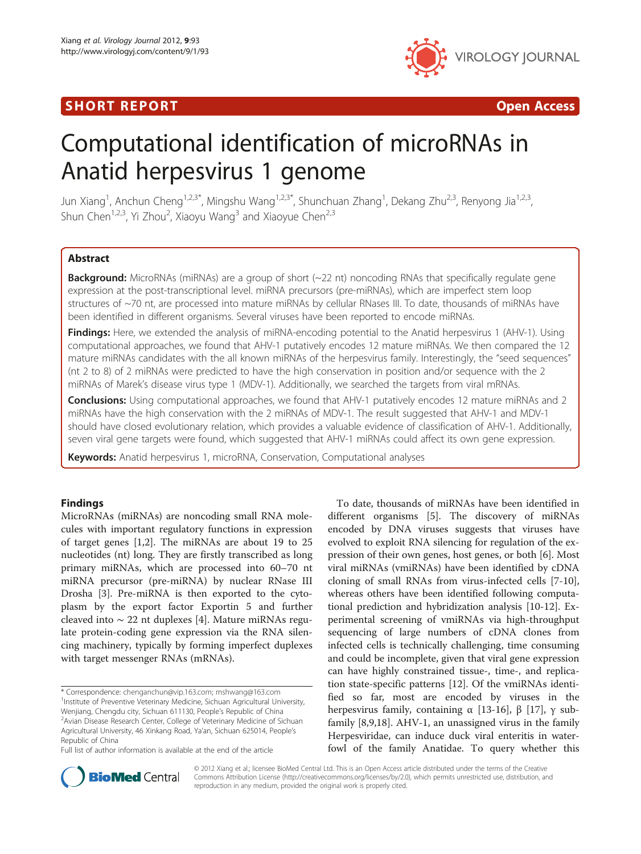# SHORT REPORT AND RESERVE THE SHORT CONTROL CONTROL CONTROL CONTROL CONTROL CONTROL CONTROL CONTROL CONTROL CONTROL CONTROL CONTROL CONTROL CONTROL CONTROL CONTROL CONTROL CONTROL CONTROL CONTROL CONTROL CONTROL CONTROL CON



# Computational identification of microRNAs in Anatid herpesvirus 1 genome

Jun Xiang<sup>1</sup>, Anchun Cheng<sup>1,2,3\*</sup>, Mingshu Wang<sup>1,2,3\*</sup>, Shunchuan Zhang<sup>1</sup>, Dekang Zhu<sup>2,3</sup>, Renyong Jia<sup>1,2,3</sup>, Shun Chen<sup>1,2,3</sup>, Yi Zhou<sup>2</sup>, Xiaoyu Wang<sup>3</sup> and Xiaoyue Chen<sup>2,3</sup>

# Abstract

**Background:** MicroRNAs (miRNAs) are a group of short  $(-22$  nt) noncoding RNAs that specifically regulate gene expression at the post-transcriptional level. miRNA precursors (pre-miRNAs), which are imperfect stem loop structures of ~70 nt, are processed into mature miRNAs by cellular RNases III. To date, thousands of miRNAs have been identified in different organisms. Several viruses have been reported to encode miRNAs.

**Findings:** Here, we extended the analysis of miRNA-encoding potential to the Anatid herpesvirus 1 (AHV-1). Using computational approaches, we found that AHV-1 putatively encodes 12 mature miRNAs. We then compared the 12 mature miRNAs candidates with the all known miRNAs of the herpesvirus family. Interestingly, the "seed sequences" (nt 2 to 8) of 2 miRNAs were predicted to have the high conservation in position and/or sequence with the 2 miRNAs of Marek's disease virus type 1 (MDV-1). Additionally, we searched the targets from viral mRNAs.

**Conclusions:** Using computational approaches, we found that AHV-1 putatively encodes 12 mature miRNAs and 2 miRNAs have the high conservation with the 2 miRNAs of MDV-1. The result suggested that AHV-1 and MDV-1 should have closed evolutionary relation, which provides a valuable evidence of classification of AHV-1. Additionally, seven viral gene targets were found, which suggested that AHV-1 miRNAs could affect its own gene expression.

**Keywords:** Anatid herpesvirus 1, microRNA, Conservation, Computational analyses

# Findings

MicroRNAs (miRNAs) are noncoding small RNA molecules with important regulatory functions in expression of target genes [\[1,2](#page-3-0)]. The miRNAs are about 19 to 25 nucleotides (nt) long. They are firstly transcribed as long primary miRNAs, which are processed into 60–70 nt miRNA precursor (pre-miRNA) by nuclear RNase III Drosha [\[3](#page-3-0)]. Pre-miRNA is then exported to the cytoplasm by the export factor Exportin 5 and further cleaved into ∼ 22 nt duplexes [[4](#page-3-0)]. Mature miRNAs regulate protein-coding gene expression via the RNA silencing machinery, typically by forming imperfect duplexes with target messenger RNAs (mRNAs).

Full list of author information is available at the end of the article

To date, thousands of miRNAs have been identified in different organisms [[5\]](#page-3-0). The discovery of miRNAs encoded by DNA viruses suggests that viruses have evolved to exploit RNA silencing for regulation of the expression of their own genes, host genes, or both [[6](#page-3-0)]. Most viral miRNAs (vmiRNAs) have been identified by cDNA cloning of small RNAs from virus-infected cells [[7-10](#page-3-0)], whereas others have been identified following computational prediction and hybridization analysis [\[10](#page-3-0)-[12\]](#page-3-0). Experimental screening of vmiRNAs via high-throughput sequencing of large numbers of cDNA clones from infected cells is technically challenging, time consuming and could be incomplete, given that viral gene expression can have highly constrained tissue-, time-, and replication state-specific patterns [\[12\]](#page-3-0). Of the vmiRNAs identified so far, most are encoded by viruses in the herpesvirus family, containing  $\alpha$  [\[13-16](#page-3-0)], β [\[17](#page-3-0)], γ subfamily [[8,9,18\]](#page-3-0). AHV-1, an unassigned virus in the family Herpesviridae, can induce duck viral enteritis in waterfowl of the family Anatidae. To query whether this



© 2012 Xiang et al.; licensee BioMed Central Ltd. This is an Open Access article distributed under the terms of the Creative Commons Attribution License [\(http://creativecommons.org/licenses/by/2.0\)](http://creativecommons.org/licenses/by/2.0), which permits unrestricted use, distribution, and reproduction in any medium, provided the original work is properly cited.

<sup>\*</sup> Correspondence: [chenganchun@vip.163.com](mailto:chenganchun@vip.163.com); [mshwang@163.com](mailto:mshwang@163.com) <sup>1</sup> <sup>1</sup>Institute of Preventive Veterinary Medicine, Sichuan Agricultural University, Wenjiang, Chengdu city, Sichuan 611130, People's Republic of China <sup>2</sup> Avian Disease Research Center, College of Veterinary Medicine of Sichuan Agricultural University, 46 Xinkang Road, Ya'an, Sichuan 625014, People's Republic of China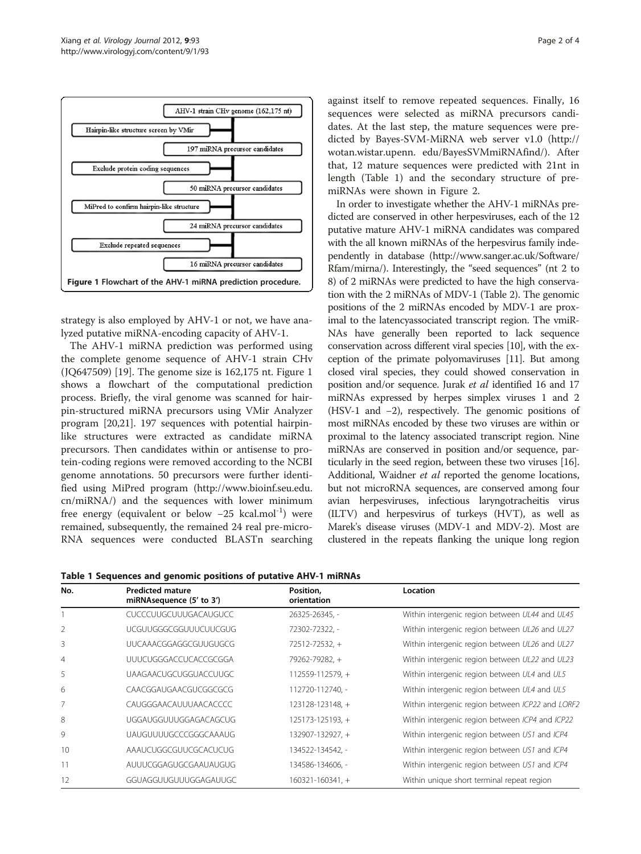

strategy is also employed by AHV-1 or not, we have analyzed putative miRNA-encoding capacity of AHV-1.

The AHV-1 miRNA prediction was performed using the complete genome sequence of AHV-1 strain CHv (JQ647509) [[19\]](#page-3-0). The genome size is 162,175 nt. Figure 1 shows a flowchart of the computational prediction process. Briefly, the viral genome was scanned for hairpin-structured miRNA precursors using VMir Analyzer program [\[20,21\]](#page-3-0). 197 sequences with potential hairpinlike structures were extracted as candidate miRNA precursors. Then candidates within or antisense to protein-coding regions were removed according to the NCBI genome annotations. 50 precursors were further identified using MiPred program [\(http://www.bioinf.seu.edu.](http://www.bioinf.seu.edu.cn/miRNA/) [cn/miRNA/\)](http://www.bioinf.seu.edu.cn/miRNA/) and the sequences with lower minimum free energy (equivalent or below  $-25$  kcal.mol<sup>-1</sup>) were remained, subsequently, the remained 24 real pre-micro-RNA sequences were conducted BLASTn searching against itself to remove repeated sequences. Finally, 16 sequences were selected as miRNA precursors candidates. At the last step, the mature sequences were predicted by Bayes-SVM-MiRNA web server v1.0 [\(http://](http://wotan.wistar.upenn) [wotan.wistar.upenn](http://wotan.wistar.upenn). edu/BayesSVMmiRNAfind/). After that, 12 mature sequences were predicted with 21nt in length (Table 1) and the secondary structure of premiRNAs were shown in Figure [2.](#page-2-0)

In order to investigate whether the AHV-1 miRNAs predicted are conserved in other herpesviruses, each of the 12 putative mature AHV-1 miRNA candidates was compared with the all known miRNAs of the herpesvirus family independently in database [\(http://www.sanger.ac.uk/Software/](http://www.sanger.ac.uk/Software/Rfam/mirna/) [Rfam/mirna/\)](http://www.sanger.ac.uk/Software/Rfam/mirna/). Interestingly, the "seed sequences" (nt 2 to 8) of 2 miRNAs were predicted to have the high conservation with the 2 miRNAs of MDV-1 (Table [2](#page-2-0)). The genomic positions of the 2 miRNAs encoded by MDV-1 are proximal to the latencyassociated transcript region. The vmiR-NAs have generally been reported to lack sequence conservation across different viral species [[10](#page-3-0)], with the exception of the primate polyomaviruses [\[11\]](#page-3-0). But among closed viral species, they could showed conservation in position and/or sequence. Jurak et al identified 16 and 17 miRNAs expressed by herpes simplex viruses 1 and 2 (HSV-1 and −2), respectively. The genomic positions of most miRNAs encoded by these two viruses are within or proximal to the latency associated transcript region. Nine miRNAs are conserved in position and/or sequence, particularly in the seed region, between these two viruses [\[16](#page-3-0)]. Additional, Waidner *et al* reported the genome locations, but not microRNA sequences, are conserved among four avian herpesviruses, infectious laryngotracheitis virus (ILTV) and herpesvirus of turkeys (HVT), as well as Marek's disease viruses (MDV-1 and MDV-2). Most are clustered in the repeats flanking the unique long region

Table 1 Sequences and genomic positions of putative AHV-1 miRNAs

| No. | <b>Predicted mature</b><br>miRNAsequence (5' to 3') | Position,<br>orientation | Location                                         |
|-----|-----------------------------------------------------|--------------------------|--------------------------------------------------|
|     | <b>CUCCCUUGCUUUGACAUGUCC</b>                        | 26325-26345, -           | Within intergenic region between UL44 and UL45   |
| 2   | UCGUUGGGCGGUUUCUUCGUG                               | 72302-72322, -           | Within intergenic region between UL26 and UL27   |
| 3   | UUCAAACGGAGGCGUUGUGCG                               | $72512 - 72532 +$        | Within intergenic region between UL26 and UL27   |
| 4   | UUUCUGGGACCUCACCGCGGA                               | 79262-79282, +           | Within intergenic region between UL22 and UL23   |
| 5   | UAAGAACUGCUGGUACCUUGC                               | $112559 - 112579 +$      | Within intergenic region between UL4 and UL5     |
| 6   | CAACGGAUGAACGUCGGCGCG                               | 112720-112740, -         | Within intergenic region between UL4 and UL5     |
| 7   | CAUGGGAACAULIUAACACCCC                              | 123128-123148, +         | Within intergenic region between ICP22 and LORF2 |
| 8   | UGGAUGGUUUGGAGACAGCUG                               | 125173-125193, +         | Within intergenic region between ICP4 and ICP22  |
| 9   | <b>UAUGUUUUGCCCGGGCAAAUG</b>                        | 132907-132927, +         | Within intergenic region between US1 and ICP4    |
| 10  | AAAUCUGGCGUUCGCACUCUG                               | 134522-134542, -         | Within intergenic region between US1 and ICP4    |
| 11  | AUUUCGGAGUGCGAAUAUGUG                               | 134586-134606, -         | Within intergenic region between US1 and ICP4    |
| 12  | GGUAGGUUGUUUGGAGAUUGC                               | $160321 - 160341 +$      | Within unique short terminal repeat region       |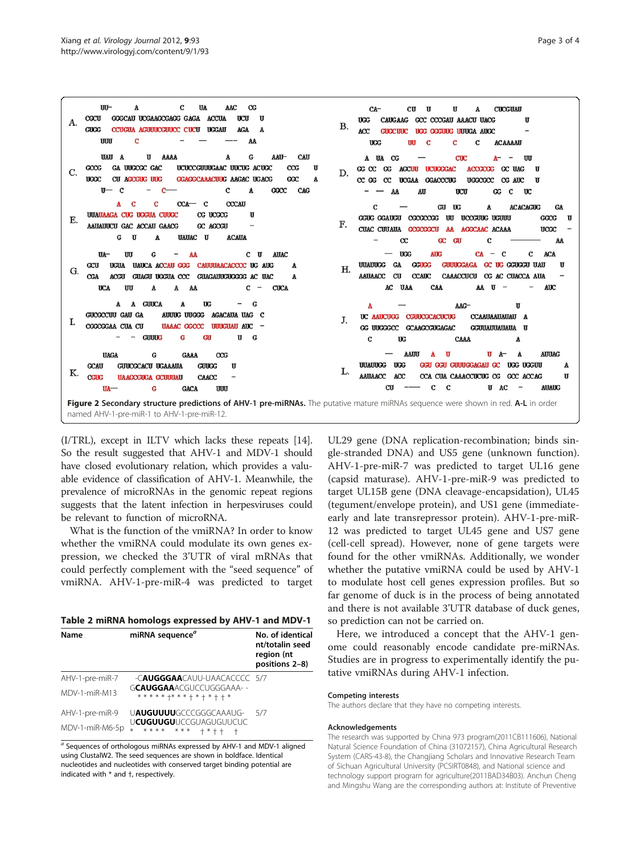<span id="page-2-0"></span>

(I/TRL), except in ILTV which lacks these repeats [\[14](#page-3-0)]. So the result suggested that AHV-1 and MDV-1 should have closed evolutionary relation, which provides a valuable evidence of classification of AHV-1. Meanwhile, the prevalence of microRNAs in the genomic repeat regions suggests that the latent infection in herpesviruses could be relevant to function of microRNA.

What is the function of the vmiRNA? In order to know whether the vmiRNA could modulate its own genes expression, we checked the 3'UTR of viral mRNAs that could perfectly complement with the "seed sequence" of vmiRNA. AHV-1-pre-miR-4 was predicted to target

| Table 2 miRNA homologs expressed by AHV-1 and MDV-1 |  |  |  |  |  |  |  |
|-----------------------------------------------------|--|--|--|--|--|--|--|
|-----------------------------------------------------|--|--|--|--|--|--|--|

| Name            | miRNA sequence <sup>a</sup>                                         | No. of identical<br>nt/totalin seed<br>region (nt<br>positions 2-8) |
|-----------------|---------------------------------------------------------------------|---------------------------------------------------------------------|
| AHV-1-pre-miR-7 | -C <b>augggaa</b> cauu-uaacacccc 5/7                                |                                                                     |
| MDV-1-miR-M13   | G <b>CAUGGAA</b> ACGUCCUGGGAAA- -<br>* * * * * +* * * + * + * + + * |                                                                     |
| AHV-1-pre-miR-9 | UAUGUUUUGCCCGGGCAAAUG-                                              | 5/7                                                                 |
| MDV-1-miR-M6-5p | U <b>CUGUUGU</b> UCCGUAGUGUUCUC<br>* * * * * * * *<br>$+ * + +$     |                                                                     |

<sup>a</sup> Sequences of orthologous miRNAs expressed by AHV-1 and MDV-1 aligned using ClustalW2. The seed sequences are shown in boldface. Identical nucleotides and nucleotides with conserved target binding potential are indicated with \* and †, respectively.

UL29 gene (DNA replication-recombination; binds single-stranded DNA) and US5 gene (unknown function). AHV-1-pre-miR-7 was predicted to target UL16 gene (capsid maturase). AHV-1-pre-miR-9 was predicted to target UL15B gene (DNA cleavage-encapsidation), UL45 (tegument/envelope protein), and US1 gene (immediateearly and late transrepressor protein). AHV-1-pre-miR-12 was predicted to target UL45 gene and US7 gene (cell-cell spread). However, none of gene targets were found for the other vmiRNAs. Additionally, we wonder whether the putative vmiRNA could be used by AHV-1 to modulate host cell genes expression profiles. But so far genome of duck is in the process of being annotated and there is not available 3'UTR database of duck genes, so prediction can not be carried on.

Here, we introduced a concept that the AHV-1 genome could reasonably encode candidate pre-miRNAs. Studies are in progress to experimentally identify the putative vmiRNAs during AHV-1 infection.

#### Competing interests

The authors declare that they have no competing interests.

#### Acknowledgements

The research was supported by China 973 program(2011CB111606), National Natural Science Foundation of China (31072157), China Agricultural Research System (CARS-43-8), the Changjiang Scholars and Innovative Research Team of Sichuan Agricultural University (PCSIRT0848), and National science and technology support program for agriculture(2011BAD34B03). Anchun Cheng and Mingshu Wang are the corresponding authors at: Institute of Preventive